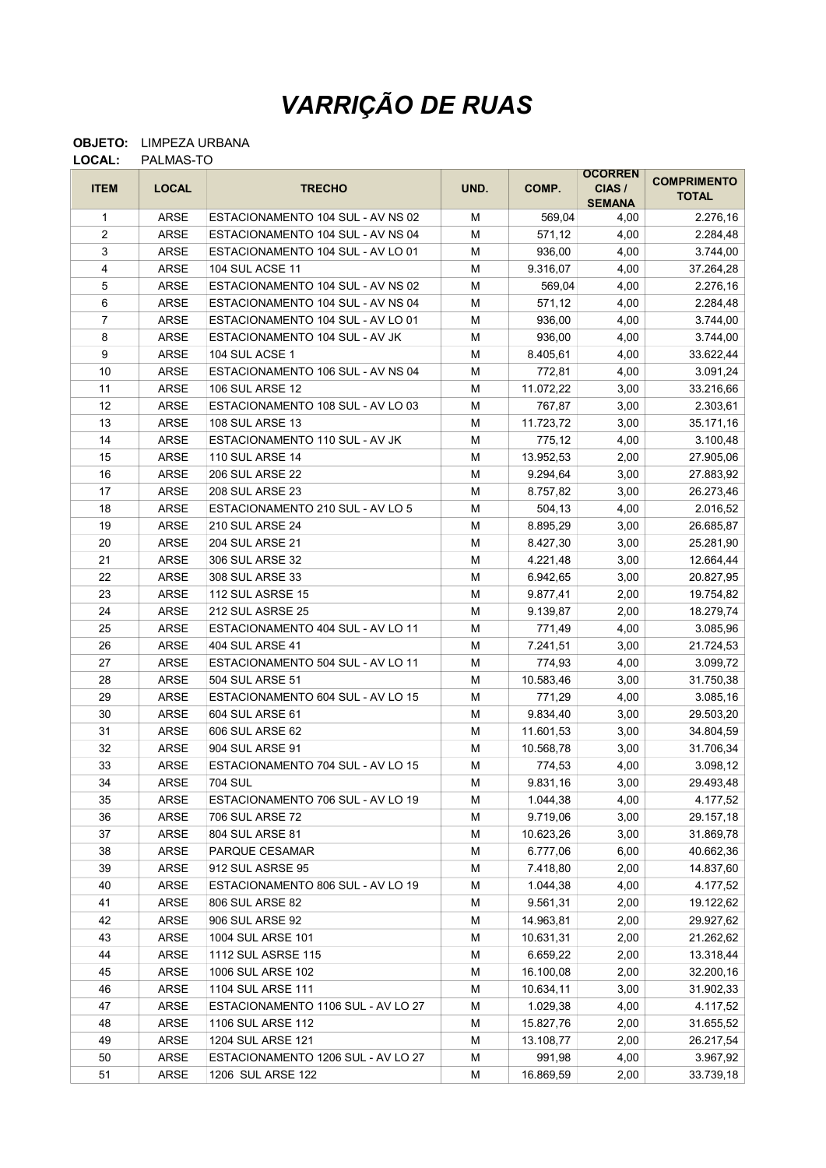## VARRIÇÃO DE RUAS

## OBJETO: LIMPEZA URBANA LOCAL: PALMAS-TO

|                         |              |                                    |      |           | <b>OCORREN</b>          | <b>COMPRIMENTO</b> |
|-------------------------|--------------|------------------------------------|------|-----------|-------------------------|--------------------|
| <b>ITEM</b>             | <b>LOCAL</b> | <b>TRECHO</b>                      | UND. | COMP.     | CIAS /<br><b>SEMANA</b> | <b>TOTAL</b>       |
| 1                       | ARSE         | ESTACIONAMENTO 104 SUL - AV NS 02  | М    | 569,04    | 4,00                    | 2.276,16           |
| $\overline{c}$          | ARSE         | ESTACIONAMENTO 104 SUL - AV NS 04  | М    | 571,12    | 4,00                    | 2.284,48           |
| 3                       | ARSE         | ESTACIONAMENTO 104 SUL - AV LO 01  | М    | 936,00    | 4,00                    | 3.744,00           |
| $\overline{\mathbf{4}}$ | ARSE         | <b>104 SUL ACSE 11</b>             | М    | 9.316,07  | 4,00                    | 37.264,28          |
| 5                       | ARSE         | ESTACIONAMENTO 104 SUL - AV NS 02  | M    | 569,04    | 4,00                    | 2.276,16           |
| 6                       | <b>ARSE</b>  | ESTACIONAMENTO 104 SUL - AV NS 04  | M    | 571,12    | 4,00                    | 2.284,48           |
| $\overline{7}$          | ARSE         | ESTACIONAMENTO 104 SUL - AV LO 01  | M    | 936,00    | 4,00                    | 3.744,00           |
| 8                       | <b>ARSE</b>  | ESTACIONAMENTO 104 SUL - AV JK     | M    | 936,00    | 4,00                    | 3.744,00           |
| 9                       | ARSE         | 104 SUL ACSE 1                     | M    | 8.405,61  | 4,00                    | 33.622,44          |
| 10                      | ARSE         | ESTACIONAMENTO 106 SUL - AV NS 04  | М    | 772,81    | 4,00                    | 3.091,24           |
| 11                      | ARSE         | <b>106 SUL ARSE 12</b>             | М    | 11.072,22 | 3,00                    | 33.216,66          |
| 12                      | ARSE         | ESTACIONAMENTO 108 SUL - AV LO 03  | М    | 767,87    | 3,00                    | 2.303,61           |
| 13                      | ARSE         | <b>108 SUL ARSE 13</b>             | M    | 11.723,72 | 3,00                    | 35.171,16          |
| 14                      | ARSE         | ESTACIONAMENTO 110 SUL - AV JK     | M    | 775,12    | 4,00                    | 3.100,48           |
| 15                      | ARSE         | <b>110 SUL ARSE 14</b>             | M    | 13.952,53 | 2,00                    | 27.905,06          |
| 16                      | <b>ARSE</b>  | <b>206 SUL ARSE 22</b>             | M    | 9.294,64  | 3,00                    | 27.883,92          |
| 17                      | ARSE         | <b>208 SUL ARSE 23</b>             | М    | 8.757,82  | 3,00                    | 26.273,46          |
| 18                      | ARSE         | ESTACIONAMENTO 210 SUL - AV LO 5   | М    | 504,13    | 4,00                    | 2.016,52           |
| 19                      | ARSE         | <b>210 SUL ARSE 24</b>             | М    | 8.895,29  | 3,00                    | 26.685,87          |
| 20                      | ARSE         | <b>204 SUL ARSE 21</b>             | М    | 8.427,30  | 3,00                    | 25.281,90          |
| 21                      | ARSE         | 306 SUL ARSE 32                    | М    | 4.221,48  | 3,00                    | 12.664,44          |
| 22                      | ARSE         | 308 SUL ARSE 33                    | M    | 6.942,65  | 3,00                    | 20.827,95          |
| 23                      | ARSE         | 112 SUL ASRSE 15                   | M    | 9.877,41  | 2,00                    | 19.754,82          |
| 24                      | ARSE         | 212 SUL ASRSE 25                   | М    | 9.139,87  | 2,00                    | 18.279,74          |
| 25                      | ARSE         | ESTACIONAMENTO 404 SUL - AV LO 11  | М    | 771,49    | 4,00                    | 3.085,96           |
| 26                      | ARSE         | 404 SUL ARSE 41                    | М    | 7.241,51  | 3,00                    | 21.724,53          |
| 27                      | ARSE         | ESTACIONAMENTO 504 SUL - AV LO 11  | М    | 774,93    | 4,00                    | 3.099,72           |
| 28                      | ARSE         | 504 SUL ARSE 51                    | М    | 10.583,46 | 3,00                    | 31.750,38          |
| 29                      | ARSE         | ESTACIONAMENTO 604 SUL - AV LO 15  | М    | 771,29    | 4,00                    | 3.085,16           |
| 30                      | <b>ARSE</b>  | 604 SUL ARSE 61                    | М    | 9.834,40  | 3,00                    | 29.503,20          |
| 31                      | ARSE         | 606 SUL ARSE 62                    | М    | 11.601,53 | 3,00                    | 34.804,59          |
| 32                      | ARSE         | 904 SUL ARSE 91                    | M    | 10.568,78 | 3,00                    | 31.706,34          |
| 33                      | ARSE         | ESTACIONAMENTO 704 SUL - AV LO 15  | М    | 774,53    | 4,00                    | 3.098,12           |
| 34                      | <b>ARSE</b>  | 704 SUL                            | М    | 9.831,16  | 3,00                    | 29.493,48          |
| 35                      | ARSE         | ESTACIONAMENTO 706 SUL - AV LO 19  | М    | 1.044,38  | 4,00                    | 4.177,52           |
| 36                      | ARSE         | 706 SUL ARSE 72                    | М    | 9.719,06  | 3,00                    | 29.157,18          |
| 37                      | ARSE         | 804 SUL ARSE 81                    | М    | 10.623,26 | 3,00                    | 31.869,78          |
| 38                      | ARSE         | PARQUE CESAMAR                     | M    | 6.777,06  | 6,00                    | 40.662,36          |
| 39                      | ARSE         | 912 SUL ASRSE 95                   | M    | 7.418,80  | 2,00                    | 14.837,60          |
| 40                      | ARSE         | ESTACIONAMENTO 806 SUL - AV LO 19  | M    | 1.044,38  | 4,00                    | 4.177,52           |
| 41                      | ARSE         | 806 SUL ARSE 82                    | M    | 9.561,31  | 2,00                    | 19.122,62          |
| 42                      | ARSE         | 906 SUL ARSE 92                    | M    | 14.963,81 | 2,00                    | 29.927,62          |
| 43                      | ARSE         | 1004 SUL ARSE 101                  | М    | 10.631,31 | 2,00                    | 21.262,62          |
| 44                      | ARSE         | 1112 SUL ASRSE 115                 | M    | 6.659,22  | 2,00                    | 13.318,44          |
| 45                      | ARSE         | 1006 SUL ARSE 102                  | M    | 16.100,08 | 2,00                    | 32.200,16          |
| 46                      | ARSE         | 1104 SUL ARSE 111                  | M    | 10.634,11 | 3,00                    | 31.902,33          |
| 47                      | ARSE         | ESTACIONAMENTO 1106 SUL - AV LO 27 | M    | 1.029,38  | 4,00                    | 4.117,52           |
| 48                      | ARSE         | 1106 SUL ARSE 112                  | М    | 15.827,76 | 2,00                    | 31.655,52          |
| 49                      | ARSE         | 1204 SUL ARSE 121                  | М    | 13.108,77 | 2,00                    | 26.217,54          |
| 50                      | <b>ARSE</b>  | ESTACIONAMENTO 1206 SUL - AV LO 27 | М    | 991,98    | 4,00                    | 3.967,92           |
| 51                      | ARSE         | 1206 SUL ARSE 122                  | М    | 16.869,59 | 2,00                    | 33.739,18          |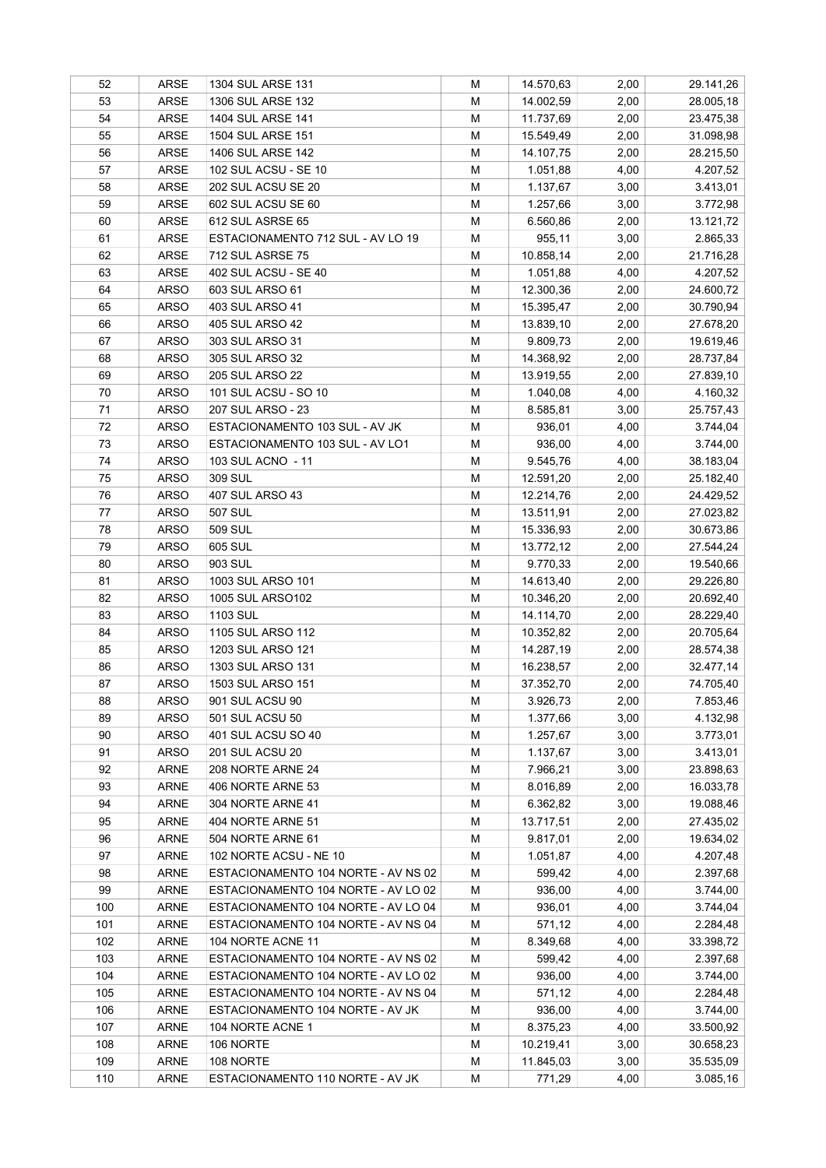| 52  | ARSE                       | 1304 SUL ARSE 131                   | М | 14.570,63 | 2,00 | 29.141,26 |
|-----|----------------------------|-------------------------------------|---|-----------|------|-----------|
| 53  | ARSE                       | 1306 SUL ARSE 132                   | М | 14.002,59 | 2,00 | 28.005,18 |
| 54  | ARSE                       | 1404 SUL ARSE 141                   | М | 11.737,69 | 2,00 | 23.475,38 |
| 55  | ARSE                       | 1504 SUL ARSE 151                   | M | 15.549,49 | 2,00 | 31.098,98 |
| 56  | ARSE                       | 1406 SUL ARSE 142                   | M | 14.107,75 | 2,00 | 28.215,50 |
| 57  | ARSE                       | 102 SUL ACSU - SE 10                | M | 1.051,88  | 4,00 | 4.207,52  |
| 58  | ARSE                       | 202 SUL ACSU SE 20                  | M | 1.137,67  | 3,00 | 3.413,01  |
| 59  | ARSE                       | 602 SUL ACSU SE 60                  | M | 1.257,66  | 3,00 | 3.772,98  |
| 60  | ARSE                       | 612 SUL ASRSE 65                    | М | 6.560,86  | 2,00 | 13.121,72 |
| 61  | ARSE                       | ESTACIONAMENTO 712 SUL - AV LO 19   | M | 955,11    | 3,00 | 2.865,33  |
| 62  | ARSE                       | <b>712 SUL ASRSE 75</b>             | M | 10.858,14 | 2,00 | 21.716,28 |
| 63  | ARSE                       | 402 SUL ACSU - SE 40                | M | 1.051,88  | 4,00 | 4.207,52  |
| 64  | <b>ARSO</b>                | 603 SUL ARSO 61                     | M | 12.300,36 | 2,00 | 24.600,72 |
| 65  | <b>ARSO</b>                | 403 SUL ARSO 41                     | M | 15.395,47 | 2,00 | 30.790,94 |
| 66  | <b>ARSO</b>                | 405 SUL ARSO 42                     | M | 13.839,10 | 2,00 | 27.678,20 |
| 67  | <b>ARSO</b>                | 303 SUL ARSO 31                     | М | 9.809,73  | 2,00 | 19.619,46 |
| 68  | <b>ARSO</b>                | 305 SUL ARSO 32                     | М | 14.368,92 | 2,00 | 28.737,84 |
| 69  | <b>ARSO</b>                | <b>205 SUL ARSO 22</b>              | M | 13.919,55 | 2,00 | 27.839,10 |
| 70  | ARSO                       | 101 SUL ACSU - SO 10                | М | 1.040,08  | 4,00 | 4.160,32  |
| 71  | <b>ARSO</b>                | 207 SUL ARSO - 23                   | M | 8.585,81  | 3,00 | 25.757,43 |
| 72  | <b>ARSO</b>                | ESTACIONAMENTO 103 SUL - AV JK      | M | 936,01    | 4,00 | 3.744,04  |
| 73  | <b>ARSO</b>                | ESTACIONAMENTO 103 SUL - AV LO1     | M | 936,00    | 4,00 | 3.744,00  |
| 74  | <b>ARSO</b>                | 103 SUL ACNO - 11                   | M | 9.545,76  | 4,00 | 38.183,04 |
| 75  | <b>ARSO</b>                | 309 SUL                             | М | 12.591,20 | 2,00 | 25.182,40 |
| 76  | <b>ARSO</b>                | 407 SUL ARSO 43                     | М | 12.214,76 | 2,00 | 24.429,52 |
| 77  | <b>ARSO</b>                | <b>507 SUL</b>                      | M | 13.511,91 | 2,00 | 27.023,82 |
| 78  | <b>ARSO</b>                | 509 SUL                             | M | 15.336,93 | 2,00 | 30.673,86 |
| 79  | <b>ARSO</b>                | 605 SUL                             | M | 13.772,12 | 2,00 | 27.544,24 |
| 80  | <b>ARSO</b>                | 903 SUL                             | М | 9.770,33  | 2,00 | 19.540,66 |
| 81  | <b>ARSO</b>                | 1003 SUL ARSO 101                   | M | 14.613,40 | 2,00 | 29.226,80 |
| 82  | <b>ARSO</b>                | 1005 SUL ARSO102                    | M | 10.346,20 | 2,00 | 20.692,40 |
| 83  | <b>ARSO</b>                | 1103 SUL                            | М | 14.114,70 | 2,00 | 28.229,40 |
| 84  | <b>ARSO</b>                | 1105 SUL ARSO 112                   | М | 10.352,82 | 2,00 | 20.705,64 |
| 85  | <b>ARSO</b>                | 1203 SUL ARSO 121                   | М | 14.287,19 | 2,00 | 28.574,38 |
| 86  | <b>ARSO</b>                | 1303 SUL ARSO 131                   | M | 16.238,57 | 2,00 | 32.477,14 |
| 87  | <b>ARSO</b>                | 1503 SUL ARSO 151                   | М | 37.352,70 | 2,00 | 74.705,40 |
| 88  | <b>ARSO</b>                | 901 SUL ACSU 90                     | M | 3.926,73  | 2,00 | 7.853,46  |
| 89  | <b>ARSO</b>                | 501 SUL ACSU 50                     | М | 1.377,66  | 3,00 | 4.132,98  |
| 90  |                            | 401 SUL ACSU SO 40                  | M |           | 3,00 |           |
| 91  | <b>ARSO</b><br><b>ARSO</b> | <b>201 SUL ACSU 20</b>              | M | 1.257,67  |      | 3.773,01  |
|     |                            | 208 NORTE ARNE 24                   |   | 1.137,67  | 3,00 | 3.413,01  |
| 92  | <b>ARNE</b>                |                                     | M | 7.966,21  | 3,00 | 23.898,63 |
| 93  | <b>ARNE</b>                | 406 NORTE ARNE 53                   | M | 8.016,89  | 2,00 | 16.033,78 |
| 94  | <b>ARNE</b>                | 304 NORTE ARNE 41                   | M | 6.362,82  | 3,00 | 19.088,46 |
| 95  | <b>ARNE</b>                | 404 NORTE ARNE 51                   | M | 13.717,51 | 2,00 | 27.435,02 |
| 96  | <b>ARNE</b>                | 504 NORTE ARNE 61                   | M | 9.817,01  | 2,00 | 19.634,02 |
| 97  | <b>ARNE</b>                | 102 NORTE ACSU - NE 10              | M | 1.051,87  | 4,00 | 4.207,48  |
| 98  | <b>ARNE</b>                | ESTACIONAMENTO 104 NORTE - AV NS 02 | M | 599,42    | 4,00 | 2.397,68  |
| 99  | <b>ARNE</b>                | ESTACIONAMENTO 104 NORTE - AV LO 02 | M | 936,00    | 4,00 | 3.744,00  |
| 100 | <b>ARNE</b>                | ESTACIONAMENTO 104 NORTE - AV LO 04 | M | 936,01    | 4,00 | 3.744,04  |
| 101 | <b>ARNE</b>                | ESTACIONAMENTO 104 NORTE - AV NS 04 | M | 571,12    | 4,00 | 2.284,48  |
| 102 | ARNE                       | 104 NORTE ACNE 11                   | M | 8.349,68  | 4,00 | 33.398,72 |
| 103 | <b>ARNE</b>                | ESTACIONAMENTO 104 NORTE - AV NS 02 | M | 599,42    | 4,00 | 2.397,68  |
| 104 | <b>ARNE</b>                | ESTACIONAMENTO 104 NORTE - AV LO 02 | M | 936,00    | 4,00 | 3.744,00  |
| 105 | ARNE                       | ESTACIONAMENTO 104 NORTE - AV NS 04 | M | 571,12    | 4,00 | 2.284,48  |
| 106 | ARNE                       | ESTACIONAMENTO 104 NORTE - AV JK    | M | 936,00    | 4,00 | 3.744,00  |
| 107 | <b>ARNE</b>                | 104 NORTE ACNE 1                    | M | 8.375,23  | 4,00 | 33.500,92 |
| 108 | <b>ARNE</b>                | 106 NORTE                           | M | 10.219,41 | 3,00 | 30.658,23 |
| 109 | <b>ARNE</b>                | 108 NORTE                           | M | 11.845,03 | 3,00 | 35.535,09 |
| 110 | ARNE                       | ESTACIONAMENTO 110 NORTE - AV JK    | М | 771,29    | 4,00 | 3.085,16  |